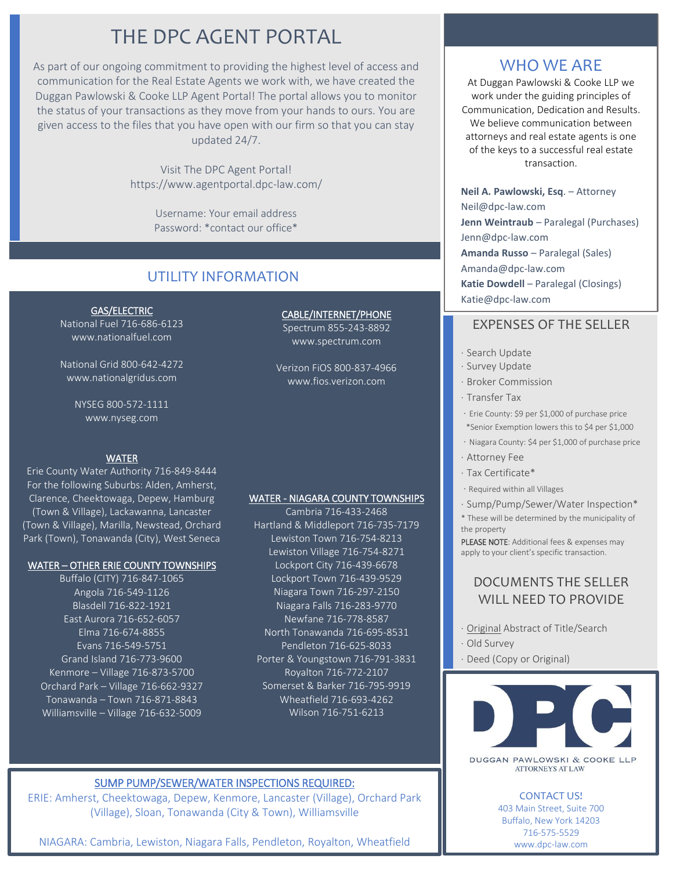## THE DPC AGENT PORTAL

As part of our ongoing commitment to providing the highest level of access and communication for the Real Estate Agents we work with, we have created the Duggan Pawlowski & Cooke LLP Agent Portal! The portal allows you to monitor the status of your transactions as they move from your hands to ours. You are given access to the files that you have open with our firm so that you can stay updated 24/7.

> Visit The DPC Agent Portal! https://www.agentportal.dpc-law.com/

> > Username: Your email address Password: \*contact our office\*

## UTILITY INFORMATION

GAS/ELECTRIC National Fuel 716-686-6123 www.nationalfuel.com

National Grid 800-642-4272 www.nationalgridus.com

> NYSEG 800-572-1111 www.nyseg.com

#### WATER

Erie County Water Authority 716-849-8444 For the following Suburbs: Alden, Amherst, Clarence, Cheektowaga, Depew, Hamburg (Town & Village), Lackawanna, Lancaster (Town & Village), Marilla, Newstead, Orchard Park (Town), Tonawanda (City), West Seneca

#### WATER – OTHER ERIE COUNTY TOWNSHIPS

Buffalo (CITY) 716-847-1065 Angola 716-549-1126 Blasdell 716-822-1921 East Aurora 716-652-6057 Elma 716-674-8855 Evans 716-549-5751 Grand Island 716-773-9600 Kenmore – Village 716-873-5700 Orchard Park – Village 716-662-9327 Tonawanda – Town 716-871-8843 Williamsville – Village 716-632-5009

CABLE/INTERNET/PHONE

Spectrum 855-243-8892 www.spectrum.com

Verizon FiOS 800-837-4966 www.fios.verizon.com

#### WATER - NIAGARA COUNTY TOWNSHIPS

Cambria 716-433-2468 Hartland & Middleport 716-735-7179 Lewiston Town 716-754-8213 Lewiston Village 716-754-8271 Lockport City 716-439-6678 Lockport Town 716-439-9529 Niagara Town 716-297-2150 Niagara Falls 716-283-9770 Newfane 716-778-8587 North Tonawanda 716-695-8531 Pendleton 716-625-8033 Porter & Youngstown 716-791-3831 Royalton 716-772-2107 Somerset & Barker 716-795-9919 Wheatfield 716-693-4262 Wilson 716-751-6213

### SUMP PUMP/SEWER/WATER INSPECTIONS REQUIRED:

ERIE: Amherst, Cheektowaga, Depew, Kenmore, Lancaster (Village), Orchard Park (Village), Sloan, Tonawanda (City & Town), Williamsville

NIAGARA: Cambria, Lewiston, Niagara Falls, Pendleton, Royalton, Wheatfield

## WHO WE ARE

At Duggan Pawlowski & Cooke LLP we work under the guiding principles of Communication, Dedication and Results. We believe communication between attorneys and real estate agents is one of the keys to a successful real estate transaction.

**Neil A. Pawlowski, Esq**. – Attorney Neil@dpc-law.com **Jenn Weintraub** – Paralegal (Purchases) Jenn@dpc-law.com **Amanda Russo** – Paralegal (Sales) Amanda@dpc-law.com **Katie Dowdell** – Paralegal (Closings) Katie@dpc-law.com

## EXPENSES OF THE SELLER

- · Search Update
- · Survey Update
- · Broker Commission
- · Transfer Tax
- · Erie County: \$9 per \$1,000 of purchase price \*Senior Exemption lowers this to \$4 per \$1,000
- · Niagara County: \$4 per \$1,000 of purchase price
- · Attorney Fee
- · Tax Certificate\*
- · Required within all Villages
- · Sump/Pump/Sewer/Water Inspection\*
- \* These will be determined by the municipality of the property

PLEASE NOTE: Additional fees & expenses may apply to your client's specific transaction.

## DOCUMENTS THE SELLER WILL NEED TO PROVIDE

- · Original Abstract of Title/Search
- · Old Survey
- · Deed (Copy or Original)



DUGGAN PAWLOWSKI & COOKE LLP **ATTORNEYS AT LAW** 

## CONTACT US!

403 Main Street, Suite 700 Buffalo, New York 14203 716-575-5529 www.dpc-law.com